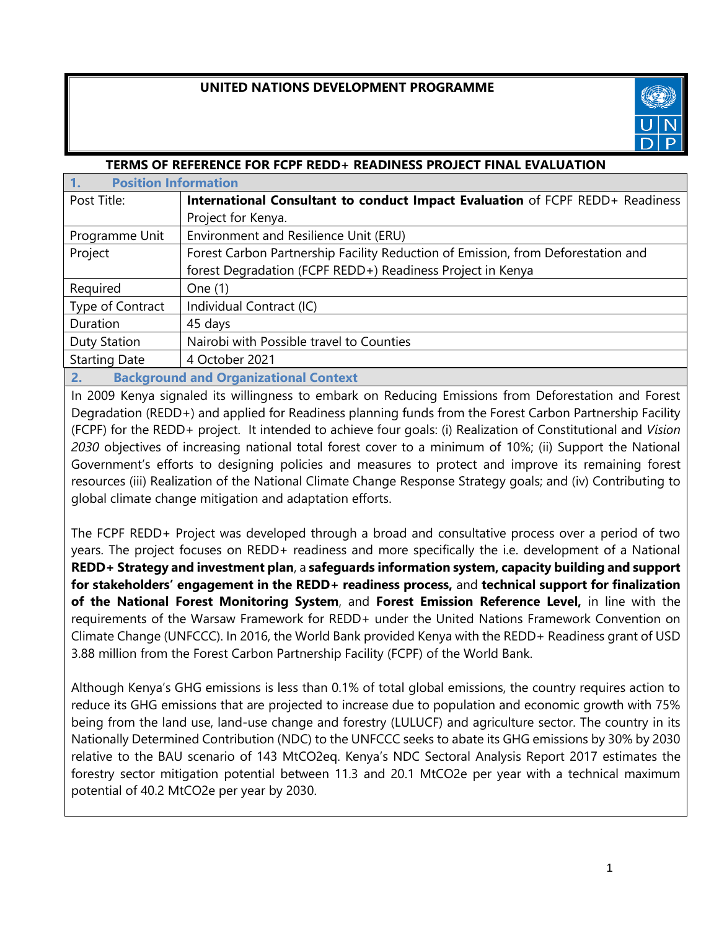# **UNITED NATIONS DEVELOPMENT PROGRAMME**



| TERMS OF REFERENCE FOR FCPF REDD+ READINESS PROJECT FINAL EVALUATION |                                                                                  |  |  |  |  |
|----------------------------------------------------------------------|----------------------------------------------------------------------------------|--|--|--|--|
| <b>Position Information</b>                                          |                                                                                  |  |  |  |  |
| Post Title:                                                          | International Consultant to conduct Impact Evaluation of FCPF REDD+ Readiness    |  |  |  |  |
|                                                                      | Project for Kenya.                                                               |  |  |  |  |
| Programme Unit                                                       | Environment and Resilience Unit (ERU)                                            |  |  |  |  |
| Project                                                              | Forest Carbon Partnership Facility Reduction of Emission, from Deforestation and |  |  |  |  |
|                                                                      | forest Degradation (FCPF REDD+) Readiness Project in Kenya                       |  |  |  |  |
| Required                                                             | One (1)                                                                          |  |  |  |  |
| Type of Contract                                                     | Individual Contract (IC)                                                         |  |  |  |  |
| Duration                                                             | 45 days                                                                          |  |  |  |  |
| <b>Duty Station</b>                                                  | Nairobi with Possible travel to Counties                                         |  |  |  |  |
| <b>Starting Date</b>                                                 | 4 October 2021                                                                   |  |  |  |  |
|                                                                      |                                                                                  |  |  |  |  |

**2. Background and Organizational Context**

In 2009 Kenya signaled its willingness to embark on Reducing Emissions from Deforestation and Forest Degradation (REDD+) and applied for Readiness planning funds from the Forest Carbon Partnership Facility (FCPF) for the REDD+ project. It intended to achieve four goals: (i) Realization of Constitutional and *Vision 2030* objectives of increasing national total forest cover to a minimum of 10%; (ii) Support the National Government's efforts to designing policies and measures to protect and improve its remaining forest resources (iii) Realization of the National Climate Change Response Strategy goals; and (iv) Contributing to global climate change mitigation and adaptation efforts.

The FCPF REDD+ Project was developed through a broad and consultative process over a period of two years. The project focuses on REDD+ readiness and more specifically the i.e. development of a National **REDD+ Strategy and investment plan**, a **safeguards information system, capacity building and support for stakeholders' engagement in the REDD+ readiness process,** and **technical support for finalization of the National Forest Monitoring System**, and **Forest Emission Reference Level,** in line with the requirements of the Warsaw Framework for REDD+ under the United Nations Framework Convention on Climate Change (UNFCCC). In 2016, the World Bank provided Kenya with the REDD+ Readiness grant of USD 3.88 million from the Forest Carbon Partnership Facility (FCPF) of the World Bank.

Although Kenya's GHG emissions is less than 0.1% of total global emissions, the country requires action to reduce its GHG emissions that are projected to increase due to population and economic growth with 75% being from the land use, land-use change and forestry (LULUCF) and agriculture sector. The country in its Nationally Determined Contribution (NDC) to the UNFCCC seeks to abate its GHG emissions by 30% by 2030 relative to the BAU scenario of 143 MtCO2eq. Kenya's NDC Sectoral Analysis Report 2017 estimates the forestry sector mitigation potential between 11.3 and 20.1 MtCO2e per year with a technical maximum potential of 40.2 MtCO2e per year by 2030.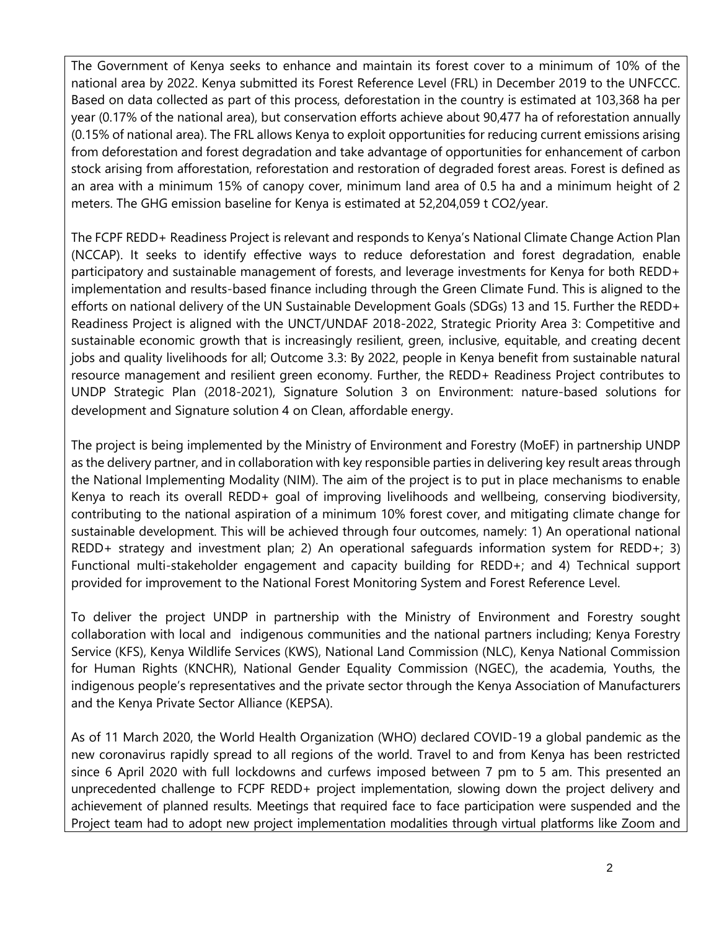The Government of Kenya seeks to enhance and maintain its forest cover to a minimum of 10% of the national area by 2022. Kenya submitted its Forest Reference Level (FRL) in December 2019 to the UNFCCC. Based on data collected as part of this process, deforestation in the country is estimated at 103,368 ha per year (0.17% of the national area), but conservation efforts achieve about 90,477 ha of reforestation annually (0.15% of national area). The FRL allows Kenya to exploit opportunities for reducing current emissions arising from deforestation and forest degradation and take advantage of opportunities for enhancement of carbon stock arising from afforestation, reforestation and restoration of degraded forest areas. Forest is defined as an area with a minimum 15% of canopy cover, minimum land area of 0.5 ha and a minimum height of 2 meters. The GHG emission baseline for Kenya is estimated at 52,204,059 t CO2/year.

The FCPF REDD+ Readiness Project is relevant and responds to Kenya's National Climate Change Action Plan (NCCAP). It seeks to identify effective ways to reduce deforestation and forest degradation, enable participatory and sustainable management of forests, and leverage investments for Kenya for both REDD+ implementation and results-based finance including through the Green Climate Fund. This is aligned to the efforts on national delivery of the UN Sustainable Development Goals (SDGs) 13 and 15. Further the REDD+ Readiness Project is aligned with the UNCT/UNDAF 2018-2022, Strategic Priority Area 3: Competitive and sustainable economic growth that is increasingly resilient, green, inclusive, equitable, and creating decent jobs and quality livelihoods for all; Outcome 3.3: By 2022, people in Kenya benefit from sustainable natural resource management and resilient green economy. Further, the REDD+ Readiness Project contributes to UNDP Strategic Plan (2018-2021), Signature Solution 3 on Environment: nature-based solutions for development and Signature solution 4 on Clean, affordable energy.

The project is being implemented by the Ministry of Environment and Forestry (MoEF) in partnership UNDP as the delivery partner, and in collaboration with key responsible parties in delivering key result areas through the National Implementing Modality (NIM). The aim of the project is to put in place mechanisms to enable Kenya to reach its overall REDD+ goal of improving livelihoods and wellbeing, conserving biodiversity, contributing to the national aspiration of a minimum 10% forest cover, and mitigating climate change for sustainable development. This will be achieved through four outcomes, namely: 1) An operational national REDD+ strategy and investment plan; 2) An operational safeguards information system for REDD+; 3) Functional multi-stakeholder engagement and capacity building for REDD+; and 4) Technical support provided for improvement to the National Forest Monitoring System and Forest Reference Level.

To deliver the project UNDP in partnership with the Ministry of Environment and Forestry sought collaboration with local and indigenous communities and the national partners including; Kenya Forestry Service (KFS), Kenya Wildlife Services (KWS), National Land Commission (NLC), Kenya National Commission for Human Rights (KNCHR), National Gender Equality Commission (NGEC), the academia, Youths, the indigenous people's representatives and the private sector through the Kenya Association of Manufacturers and the Kenya Private Sector Alliance (KEPSA).

As of 11 March 2020, the World Health Organization (WHO) declared COVID-19 a global pandemic as the new coronavirus rapidly spread to all regions of the world. Travel to and from Kenya has been restricted since 6 April 2020 with full lockdowns and curfews imposed between 7 pm to 5 am. This presented an unprecedented challenge to FCPF REDD+ project implementation, slowing down the project delivery and achievement of planned results. Meetings that required face to face participation were suspended and the Project team had to adopt new project implementation modalities through virtual platforms like Zoom and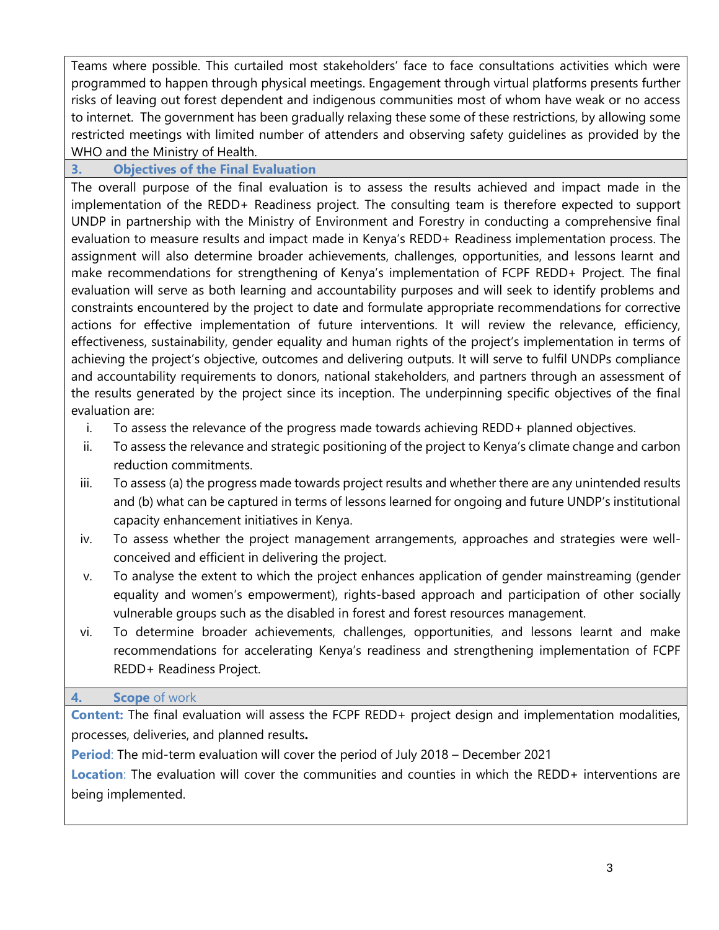Teams where possible. This curtailed most stakeholders' face to face consultations activities which were programmed to happen through physical meetings. Engagement through virtual platforms presents further risks of leaving out forest dependent and indigenous communities most of whom have weak or no access to internet. The government has been gradually relaxing these some of these restrictions, by allowing some restricted meetings with limited number of attenders and observing safety guidelines as provided by the WHO and the Ministry of Health.

### **3. Objectives of the Final Evaluation**

The overall purpose of the final evaluation is to assess the results achieved and impact made in the implementation of the REDD+ Readiness project. The consulting team is therefore expected to support UNDP in partnership with the Ministry of Environment and Forestry in conducting a comprehensive final evaluation to measure results and impact made in Kenya's REDD+ Readiness implementation process. The assignment will also determine broader achievements, challenges, opportunities, and lessons learnt and make recommendations for strengthening of Kenya's implementation of FCPF REDD+ Project. The final evaluation will serve as both learning and accountability purposes and will seek to identify problems and constraints encountered by the project to date and formulate appropriate recommendations for corrective actions for effective implementation of future interventions. It will review the relevance, efficiency, effectiveness, sustainability, gender equality and human rights of the project's implementation in terms of achieving the project's objective, outcomes and delivering outputs. It will serve to fulfil UNDPs compliance and accountability requirements to donors, national stakeholders, and partners through an assessment of the results generated by the project since its inception. The underpinning specific objectives of the final evaluation are:

- i. To assess the relevance of the progress made towards achieving REDD+ planned objectives.
- ii. To assess the relevance and strategic positioning of the project to Kenya's climate change and carbon reduction commitments.
- iii. To assess (a) the progress made towards project results and whether there are any unintended results and (b) what can be captured in terms of lessons learned for ongoing and future UNDP's institutional capacity enhancement initiatives in Kenya.
- iv. To assess whether the project management arrangements, approaches and strategies were wellconceived and efficient in delivering the project.
- v. To analyse the extent to which the project enhances application of gender mainstreaming (gender equality and women's empowerment), rights-based approach and participation of other socially vulnerable groups such as the disabled in forest and forest resources management.
- vi. To determine broader achievements, challenges, opportunities, and lessons learnt and make recommendations for accelerating Kenya's readiness and strengthening implementation of FCPF REDD+ Readiness Project.

## **4. Scope** of work

**Content:** The final evaluation will assess the FCPF REDD+ project design and implementation modalities, processes, deliveries, and planned results**.**

**Period**: The mid-term evaluation will cover the period of July 2018 – December 2021

**Location**: The evaluation will cover the communities and counties in which the REDD+ interventions are being implemented.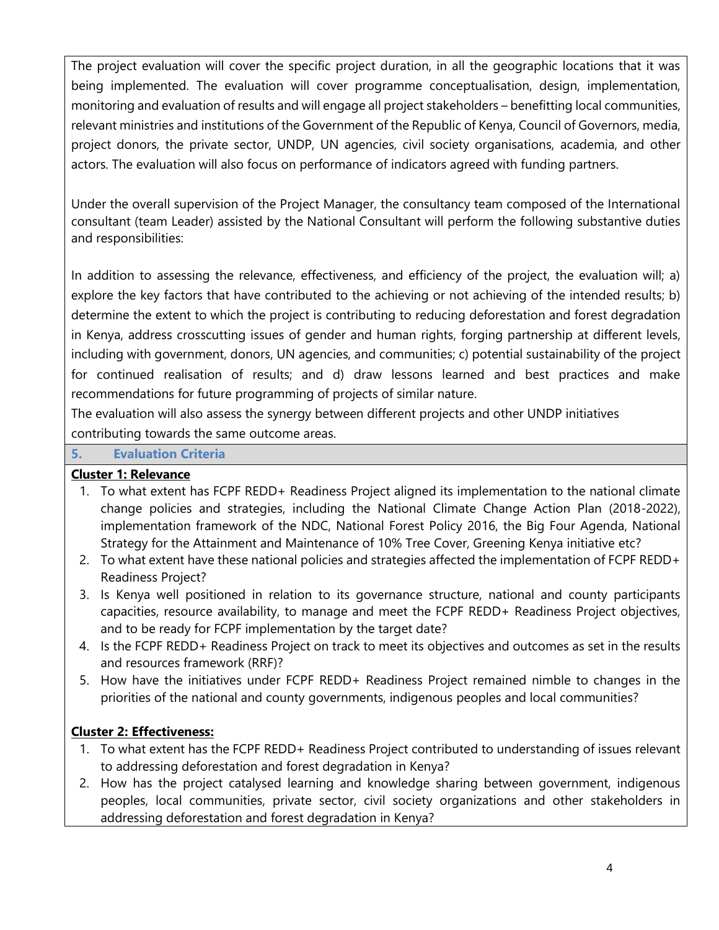The project evaluation will cover the specific project duration, in all the geographic locations that it was being implemented. The evaluation will cover programme conceptualisation, design, implementation, monitoring and evaluation of results and will engage all project stakeholders – benefitting local communities, relevant ministries and institutions of the Government of the Republic of Kenya, Council of Governors, media, project donors, the private sector, UNDP, UN agencies, civil society organisations, academia, and other actors. The evaluation will also focus on performance of indicators agreed with funding partners.

Under the overall supervision of the Project Manager, the consultancy team composed of the International consultant (team Leader) assisted by the National Consultant will perform the following substantive duties and responsibilities:

In addition to assessing the relevance, effectiveness, and efficiency of the project, the evaluation will; a) explore the key factors that have contributed to the achieving or not achieving of the intended results; b) determine the extent to which the project is contributing to reducing deforestation and forest degradation in Kenya, address crosscutting issues of gender and human rights, forging partnership at different levels, including with government, donors, UN agencies, and communities; c) potential sustainability of the project for continued realisation of results; and d) draw lessons learned and best practices and make recommendations for future programming of projects of similar nature.

The evaluation will also assess the synergy between different projects and other UNDP initiatives contributing towards the same outcome areas.

## **5. Evaluation Criteria**

## **Cluster 1: Relevance**

- 1. To what extent has FCPF REDD+ Readiness Project aligned its implementation to the national climate change policies and strategies, including the National Climate Change Action Plan (2018-2022), implementation framework of the NDC, National Forest Policy 2016, the Big Four Agenda, National Strategy for the Attainment and Maintenance of 10% Tree Cover, Greening Kenya initiative etc?
- 2. To what extent have these national policies and strategies affected the implementation of FCPF REDD+ Readiness Project?
- 3. Is Kenya well positioned in relation to its governance structure, national and county participants capacities, resource availability, to manage and meet the FCPF REDD+ Readiness Project objectives, and to be ready for FCPF implementation by the target date?
- 4. Is the FCPF REDD+ Readiness Project on track to meet its objectives and outcomes as set in the results and resources framework (RRF)?
- 5. How have the initiatives under FCPF REDD+ Readiness Project remained nimble to changes in the priorities of the national and county governments, indigenous peoples and local communities?

# **Cluster 2: Effectiveness:**

- 1. To what extent has the FCPF REDD+ Readiness Project contributed to understanding of issues relevant to addressing deforestation and forest degradation in Kenya?
- 2. How has the project catalysed learning and knowledge sharing between government, indigenous peoples, local communities, private sector, civil society organizations and other stakeholders in addressing deforestation and forest degradation in Kenya?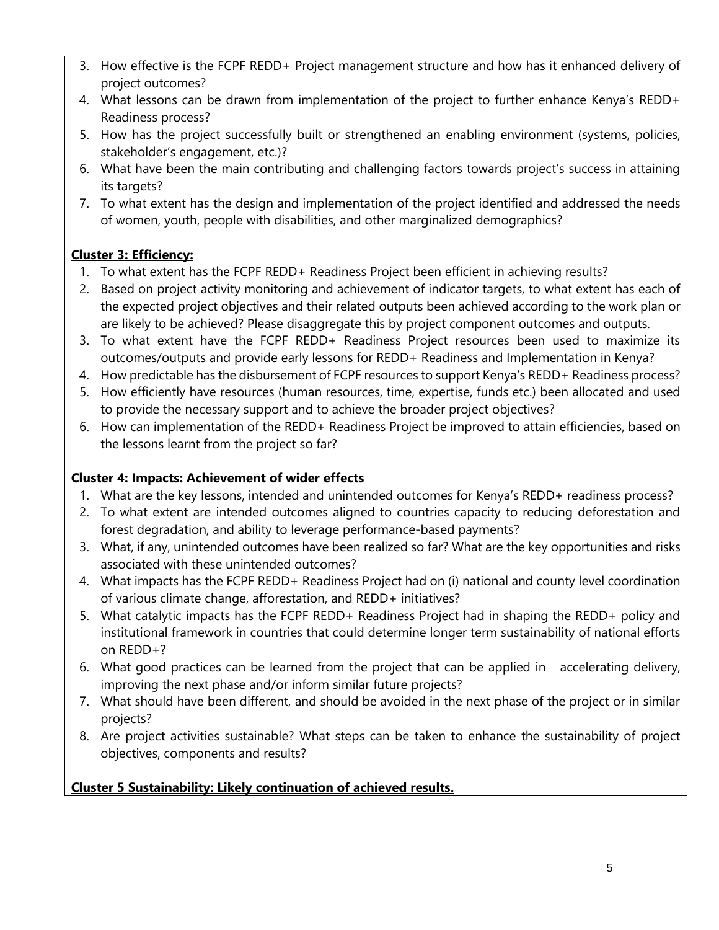- 3. How effective is the FCPF REDD+ Project management structure and how has it enhanced delivery of project outcomes?
- 4. What lessons can be drawn from implementation of the project to further enhance Kenya's REDD+ Readiness process?
- 5. How has the project successfully built or strengthened an enabling environment (systems, policies, stakeholder's engagement, etc.)?
- 6. What have been the main contributing and challenging factors towards project's success in attaining its targets?
- 7. To what extent has the design and implementation of the project identified and addressed the needs of women, youth, people with disabilities, and other marginalized demographics?

# **Cluster 3: Efficiency:**

- 1. To what extent has the FCPF REDD+ Readiness Project been efficient in achieving results?
- 2. Based on project activity monitoring and achievement of indicator targets, to what extent has each of the expected project objectives and their related outputs been achieved according to the work plan or are likely to be achieved? Please disaggregate this by project component outcomes and outputs.
- 3. To what extent have the FCPF REDD+ Readiness Project resources been used to maximize its outcomes/outputs and provide early lessons for REDD+ Readiness and Implementation in Kenya?
- 4. How predictable has the disbursement of FCPF resources to support Kenya's REDD+ Readiness process?
- 5. How efficiently have resources (human resources, time, expertise, funds etc.) been allocated and used to provide the necessary support and to achieve the broader project objectives?
- 6. How can implementation of the REDD+ Readiness Project be improved to attain efficiencies, based on the lessons learnt from the project so far?

# **Cluster 4: Impacts: Achievement of wider effects**

- 1. What are the key lessons, intended and unintended outcomes for Kenya's REDD+ readiness process?
- 2. To what extent are intended outcomes aligned to countries capacity to reducing deforestation and forest degradation, and ability to leverage performance-based payments?
- 3. What, if any, unintended outcomes have been realized so far? What are the key opportunities and risks associated with these unintended outcomes?
- 4. What impacts has the FCPF REDD+ Readiness Project had on (i) national and county level coordination of various climate change, afforestation, and REDD+ initiatives?
- 5. What catalytic impacts has the FCPF REDD+ Readiness Project had in shaping the REDD+ policy and institutional framework in countries that could determine longer term sustainability of national efforts on REDD+?
- 6. What good practices can be learned from the project that can be applied in accelerating delivery, improving the next phase and/or inform similar future projects?
- 7. What should have been different, and should be avoided in the next phase of the project or in similar projects?
- 8. Are project activities sustainable? What steps can be taken to enhance the sustainability of project objectives, components and results?

# **Cluster 5 Sustainability: Likely continuation of achieved results.**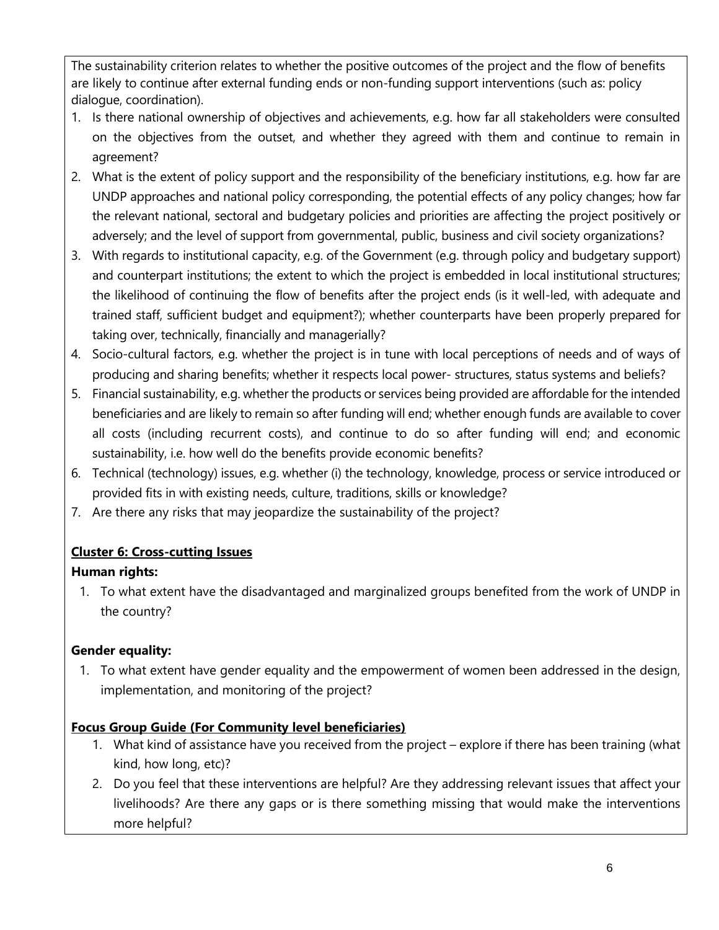The sustainability criterion relates to whether the positive outcomes of the project and the flow of benefits are likely to continue after external funding ends or non-funding support interventions (such as: policy dialogue, coordination).

- 1. Is there national ownership of objectives and achievements, e.g. how far all stakeholders were consulted on the objectives from the outset, and whether they agreed with them and continue to remain in agreement?
- 2. What is the extent of policy support and the responsibility of the beneficiary institutions, e.g. how far are UNDP approaches and national policy corresponding, the potential effects of any policy changes; how far the relevant national, sectoral and budgetary policies and priorities are affecting the project positively or adversely; and the level of support from governmental, public, business and civil society organizations?
- 3. With regards to institutional capacity, e.g. of the Government (e.g. through policy and budgetary support) and counterpart institutions; the extent to which the project is embedded in local institutional structures; the likelihood of continuing the flow of benefits after the project ends (is it well-led, with adequate and trained staff, sufficient budget and equipment?); whether counterparts have been properly prepared for taking over, technically, financially and managerially?
- 4. Socio-cultural factors, e.g. whether the project is in tune with local perceptions of needs and of ways of producing and sharing benefits; whether it respects local power- structures, status systems and beliefs?
- 5. Financial sustainability, e.g. whether the products or services being provided are affordable for the intended beneficiaries and are likely to remain so after funding will end; whether enough funds are available to cover all costs (including recurrent costs), and continue to do so after funding will end; and economic sustainability, i.e. how well do the benefits provide economic benefits?
- 6. Technical (technology) issues, e.g. whether (i) the technology, knowledge, process or service introduced or provided fits in with existing needs, culture, traditions, skills or knowledge?
- 7. Are there any risks that may jeopardize the sustainability of the project?

# **Cluster 6: Cross-cutting Issues**

# **Human rights:**

1. To what extent have the disadvantaged and marginalized groups benefited from the work of UNDP in the country?

# **Gender equality:**

1. To what extent have gender equality and the empowerment of women been addressed in the design, implementation, and monitoring of the project?

# **Focus Group Guide (For Community level beneficiaries)**

- 1. What kind of assistance have you received from the project explore if there has been training (what kind, how long, etc)?
- 2. Do you feel that these interventions are helpful? Are they addressing relevant issues that affect your livelihoods? Are there any gaps or is there something missing that would make the interventions more helpful?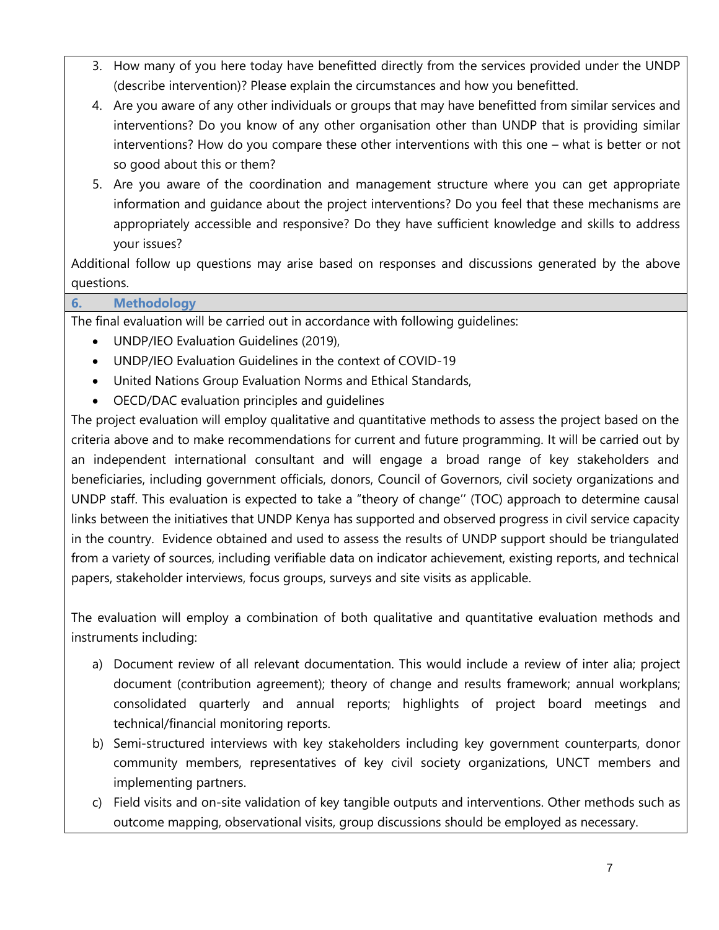- 3. How many of you here today have benefitted directly from the services provided under the UNDP (describe intervention)? Please explain the circumstances and how you benefitted.
- 4. Are you aware of any other individuals or groups that may have benefitted from similar services and interventions? Do you know of any other organisation other than UNDP that is providing similar interventions? How do you compare these other interventions with this one – what is better or not so good about this or them?
- 5. Are you aware of the coordination and management structure where you can get appropriate information and guidance about the project interventions? Do you feel that these mechanisms are appropriately accessible and responsive? Do they have sufficient knowledge and skills to address your issues?

Additional follow up questions may arise based on responses and discussions generated by the above questions.

# **6. Methodology**

The final evaluation will be carried out in accordance with following guidelines:

- UNDP/IEO Evaluation Guidelines (2019),
- UNDP/IEO Evaluation Guidelines in the context of COVID-19
- United Nations Group Evaluation Norms and Ethical Standards,
- OECD/DAC evaluation principles and guidelines

The project evaluation will employ qualitative and quantitative methods to assess the project based on the criteria above and to make recommendations for current and future programming. It will be carried out by an independent international consultant and will engage a broad range of key stakeholders and beneficiaries, including government officials, donors, Council of Governors, civil society organizations and UNDP staff. This evaluation is expected to take a "theory of change'' (TOC) approach to determine causal links between the initiatives that UNDP Kenya has supported and observed progress in civil service capacity in the country. Evidence obtained and used to assess the results of UNDP support should be triangulated from a variety of sources, including verifiable data on indicator achievement, existing reports, and technical papers, stakeholder interviews, focus groups, surveys and site visits as applicable.

The evaluation will employ a combination of both qualitative and quantitative evaluation methods and instruments including:

- a) Document review of all relevant documentation. This would include a review of inter alia; project document (contribution agreement); theory of change and results framework; annual workplans; consolidated quarterly and annual reports; highlights of project board meetings and technical/financial monitoring reports.
- b) Semi-structured interviews with key stakeholders including key government counterparts, donor community members, representatives of key civil society organizations, UNCT members and implementing partners.
- c) Field visits and on-site validation of key tangible outputs and interventions. Other methods such as outcome mapping, observational visits, group discussions should be employed as necessary.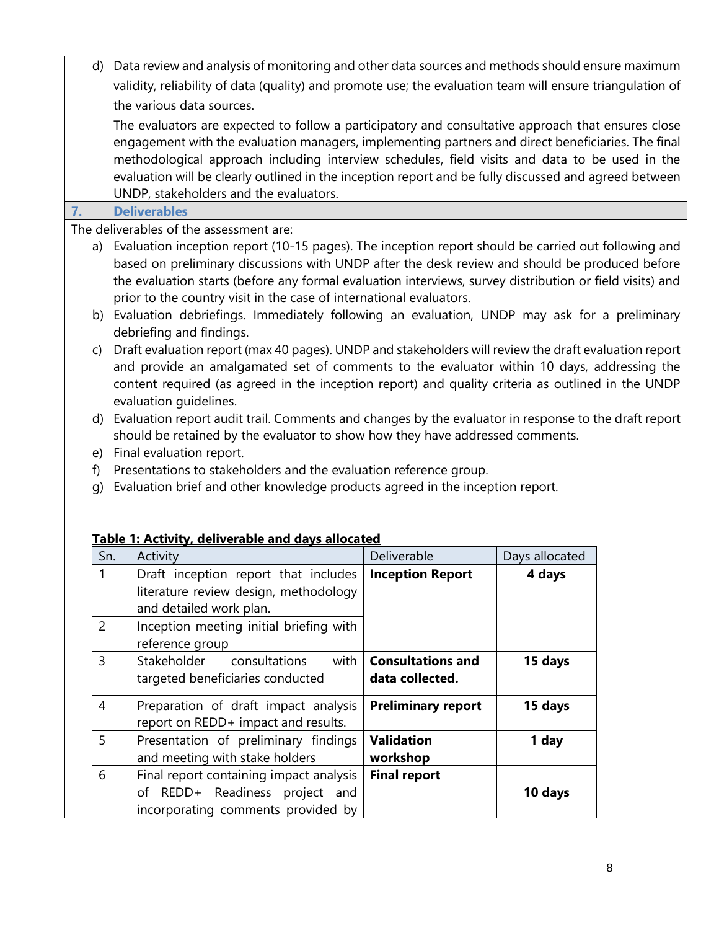| d)                             | Data review and analysis of monitoring and other data sources and methods should ensure maximum<br>validity, reliability of data (quality) and promote use; the evaluation team will ensure triangulation of                                                                                                                                                                                                                                                                                  |                                             |                |  |  |  |
|--------------------------------|-----------------------------------------------------------------------------------------------------------------------------------------------------------------------------------------------------------------------------------------------------------------------------------------------------------------------------------------------------------------------------------------------------------------------------------------------------------------------------------------------|---------------------------------------------|----------------|--|--|--|
|                                | the various data sources.                                                                                                                                                                                                                                                                                                                                                                                                                                                                     |                                             |                |  |  |  |
|                                | The evaluators are expected to follow a participatory and consultative approach that ensures close<br>engagement with the evaluation managers, implementing partners and direct beneficiaries. The final<br>methodological approach including interview schedules, field visits and data to be used in the<br>evaluation will be clearly outlined in the inception report and be fully discussed and agreed between                                                                           |                                             |                |  |  |  |
|                                | UNDP, stakeholders and the evaluators.                                                                                                                                                                                                                                                                                                                                                                                                                                                        |                                             |                |  |  |  |
| 7.                             | <b>Deliverables</b><br>The deliverables of the assessment are:                                                                                                                                                                                                                                                                                                                                                                                                                                |                                             |                |  |  |  |
|                                | a) Evaluation inception report (10-15 pages). The inception report should be carried out following and<br>based on preliminary discussions with UNDP after the desk review and should be produced before<br>the evaluation starts (before any formal evaluation interviews, survey distribution or field visits) and<br>prior to the country visit in the case of international evaluators.<br>b) Evaluation debriefings. Immediately following an evaluation, UNDP may ask for a preliminary |                                             |                |  |  |  |
| C)                             | debriefing and findings.<br>Draft evaluation report (max 40 pages). UNDP and stakeholders will review the draft evaluation report<br>and provide an amalgamated set of comments to the evaluator within 10 days, addressing the<br>content required (as agreed in the inception report) and quality criteria as outlined in the UNDP<br>evaluation quidelines.                                                                                                                                |                                             |                |  |  |  |
| d)<br>f)<br>g)                 | Evaluation report audit trail. Comments and changes by the evaluator in response to the draft report<br>should be retained by the evaluator to show how they have addressed comments.<br>e) Final evaluation report.<br>Presentations to stakeholders and the evaluation reference group.<br>Evaluation brief and other knowledge products agreed in the inception report.<br>Table 1: Activity, deliverable and days allocated                                                               |                                             |                |  |  |  |
| Sn.                            | Activity                                                                                                                                                                                                                                                                                                                                                                                                                                                                                      | Deliverable                                 | Days allocated |  |  |  |
| $\mathbf{1}$<br>$\overline{2}$ | Draft inception report that includes<br>literature review design, methodology<br>and detailed work plan.<br>Inception meeting initial briefing with<br>reference group                                                                                                                                                                                                                                                                                                                        | <b>Inception Report</b>                     | 4 days         |  |  |  |
| 3                              | Stakeholder<br>with<br>consultations<br>targeted beneficiaries conducted                                                                                                                                                                                                                                                                                                                                                                                                                      | <b>Consultations and</b><br>data collected. | 15 days        |  |  |  |
| 4                              | Preparation of draft impact analysis<br>report on REDD+ impact and results.                                                                                                                                                                                                                                                                                                                                                                                                                   | <b>Preliminary report</b>                   | 15 days        |  |  |  |
| 5                              | Presentation of preliminary findings<br>and meeting with stake holders                                                                                                                                                                                                                                                                                                                                                                                                                        | <b>Validation</b><br>workshop               | 1 day          |  |  |  |
| 6                              | Final report containing impact analysis<br>of REDD+ Readiness project and<br>incorporating comments provided by                                                                                                                                                                                                                                                                                                                                                                               | <b>Final report</b>                         | 10 days        |  |  |  |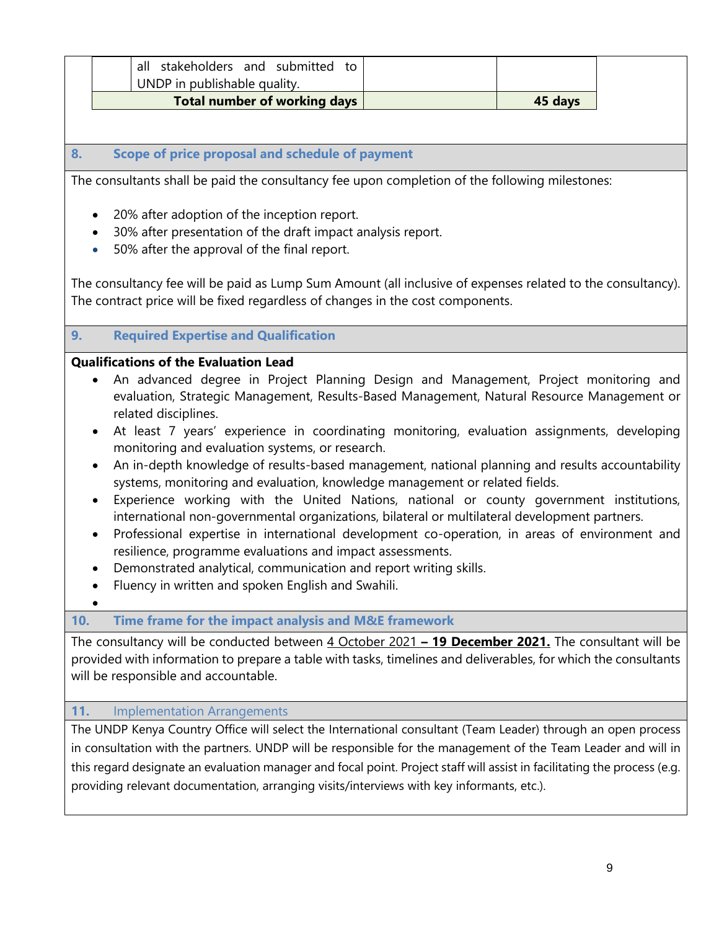| Total number of working days           | 45 days |
|----------------------------------------|---------|
| UNDP in publishable quality.           |         |
| all stakeholders and submitted<br>⊤ †ດ |         |

## **8. Scope of price proposal and schedule of payment**

The consultants shall be paid the consultancy fee upon completion of the following milestones:

- 20% after adoption of the inception report.
- 30% after presentation of the draft impact analysis report.
- 50% after the approval of the final report.

The consultancy fee will be paid as Lump Sum Amount (all inclusive of expenses related to the consultancy). The contract price will be fixed regardless of changes in the cost components.

#### **9. Required Expertise and Qualification**

### **Qualifications of the Evaluation Lead**

- An advanced degree in Project Planning Design and Management, Project monitoring and evaluation, Strategic Management, Results-Based Management, Natural Resource Management or related disciplines.
- At least 7 years' experience in coordinating monitoring, evaluation assignments, developing monitoring and evaluation systems, or research.
- An in-depth knowledge of results-based management, national planning and results accountability systems, monitoring and evaluation, knowledge management or related fields.
- Experience working with the United Nations, national or county government institutions, international non-governmental organizations, bilateral or multilateral development partners.
- Professional expertise in international development co-operation, in areas of environment and resilience, programme evaluations and impact assessments.
- Demonstrated analytical, communication and report writing skills.
- Fluency in written and spoken English and Swahili.
- •

## **10. Time frame for the impact analysis and M&E framework**

The consultancy will be conducted between 4 October 2021 **– 19 December 2021.** The consultant will be provided with information to prepare a table with tasks, timelines and deliverables, for which the consultants will be responsible and accountable.

#### **11.** Implementation Arrangements

The UNDP Kenya Country Office will select the International consultant (Team Leader) through an open process in consultation with the partners. UNDP will be responsible for the management of the Team Leader and will in this regard designate an evaluation manager and focal point. Project staff will assist in facilitating the process (e.g. providing relevant documentation, arranging visits/interviews with key informants, etc.).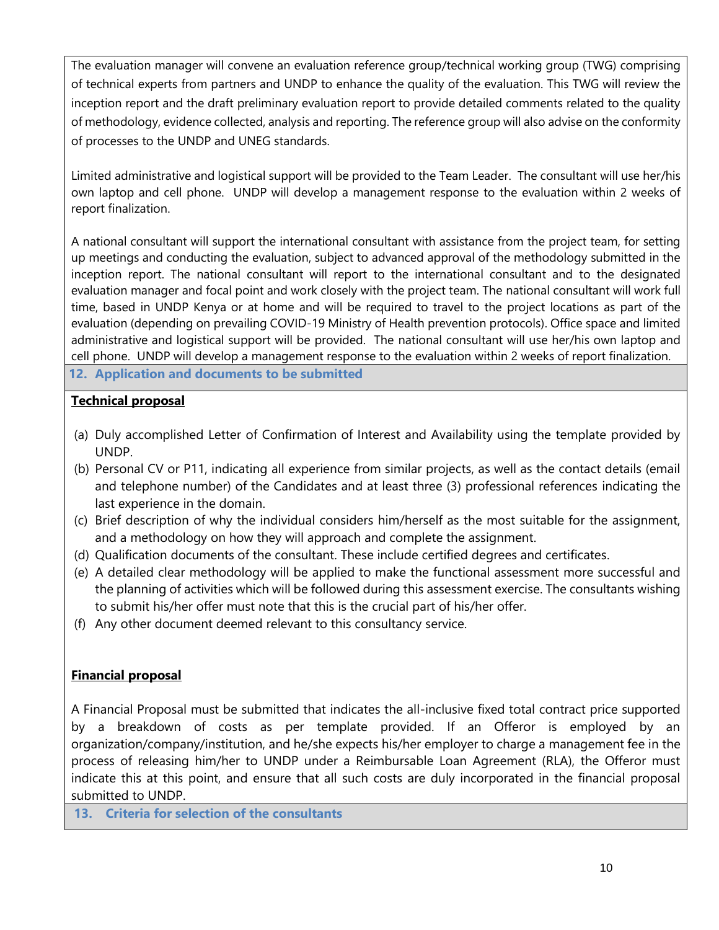The evaluation manager will convene an evaluation reference group/technical working group (TWG) comprising of technical experts from partners and UNDP to enhance the quality of the evaluation. This TWG will review the inception report and the draft preliminary evaluation report to provide detailed comments related to the quality of methodology, evidence collected, analysis and reporting. The reference group will also advise on the conformity of processes to the UNDP and UNEG standards.

Limited administrative and logistical support will be provided to the Team Leader. The consultant will use her/his own laptop and cell phone. UNDP will develop a management response to the evaluation within 2 weeks of report finalization.

A national consultant will support the international consultant with assistance from the project team, for setting up meetings and conducting the evaluation, subject to advanced approval of the methodology submitted in the inception report. The national consultant will report to the international consultant and to the designated evaluation manager and focal point and work closely with the project team. The national consultant will work full time, based in UNDP Kenya or at home and will be required to travel to the project locations as part of the evaluation (depending on prevailing COVID-19 Ministry of Health prevention protocols). Office space and limited administrative and logistical support will be provided. The national consultant will use her/his own laptop and cell phone. UNDP will develop a management response to the evaluation within 2 weeks of report finalization.

**12. Application and documents to be submitted**

### **Technical proposal**

- (a) Duly accomplished Letter of Confirmation of Interest and Availability using the template provided by UNDP.
- (b) Personal CV or P11, indicating all experience from similar projects, as well as the contact details (email and telephone number) of the Candidates and at least three (3) professional references indicating the last experience in the domain.
- (c) Brief description of why the individual considers him/herself as the most suitable for the assignment, and a methodology on how they will approach and complete the assignment.
- (d) Qualification documents of the consultant. These include certified degrees and certificates.
- (e) A detailed clear methodology will be applied to make the functional assessment more successful and the planning of activities which will be followed during this assessment exercise. The consultants wishing to submit his/her offer must note that this is the crucial part of his/her offer.
- (f) Any other document deemed relevant to this consultancy service.

## **Financial proposal**

A Financial Proposal must be submitted that indicates the all-inclusive fixed total contract price supported by a breakdown of costs as per template provided. If an Offeror is employed by an organization/company/institution, and he/she expects his/her employer to charge a management fee in the process of releasing him/her to UNDP under a Reimbursable Loan Agreement (RLA), the Offeror must indicate this at this point, and ensure that all such costs are duly incorporated in the financial proposal submitted to UNDP.

**13. Criteria for selection of the consultants**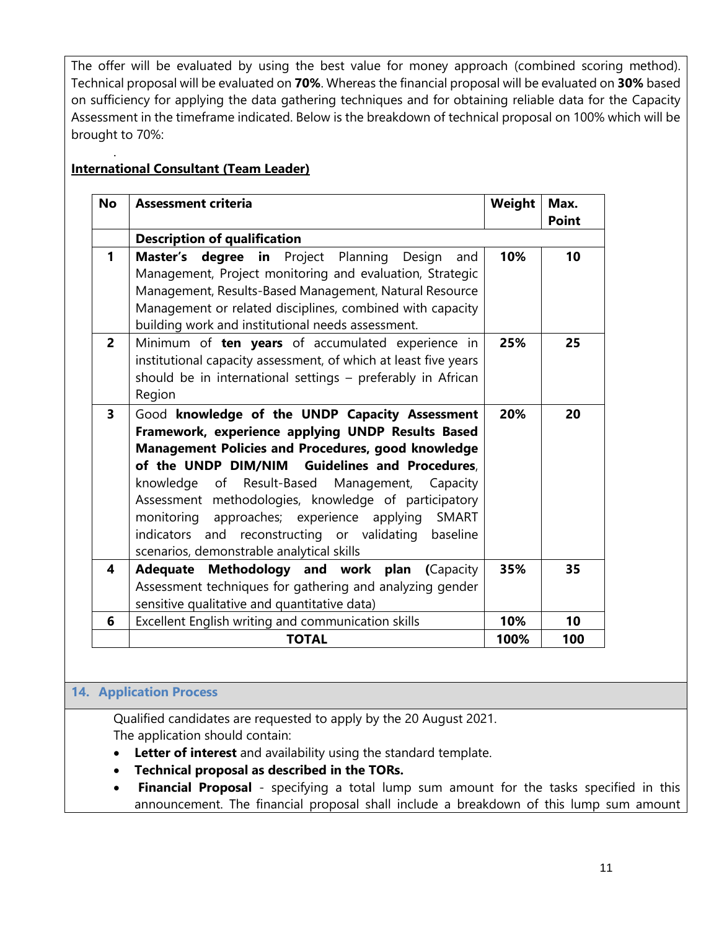The offer will be evaluated by using the best value for money approach (combined scoring method). Technical proposal will be evaluated on **70%**. Whereas the financial proposal will be evaluated on **30%** based on sufficiency for applying the data gathering techniques and for obtaining reliable data for the Capacity Assessment in the timeframe indicated. Below is the breakdown of technical proposal on 100% which will be brought to 70%:

# **International Consultant (Team Leader)**

.

| <b>No</b>               | <b>Assessment criteria</b>                                                                                                                                                                                                                                                                                                                                                                                                                                                              | Weight | Max.<br><b>Point</b> |
|-------------------------|-----------------------------------------------------------------------------------------------------------------------------------------------------------------------------------------------------------------------------------------------------------------------------------------------------------------------------------------------------------------------------------------------------------------------------------------------------------------------------------------|--------|----------------------|
|                         | <b>Description of qualification</b>                                                                                                                                                                                                                                                                                                                                                                                                                                                     |        |                      |
| $\mathbf{1}$            | Master's degree in Project Planning Design<br>and<br>Management, Project monitoring and evaluation, Strategic<br>Management, Results-Based Management, Natural Resource<br>Management or related disciplines, combined with capacity<br>building work and institutional needs assessment.                                                                                                                                                                                               | 10%    | 10                   |
| $\overline{2}$          | Minimum of ten years of accumulated experience in<br>institutional capacity assessment, of which at least five years<br>should be in international settings - preferably in African<br>Region                                                                                                                                                                                                                                                                                           | 25%    | 25                   |
| $\overline{\mathbf{3}}$ | Good knowledge of the UNDP Capacity Assessment<br>Framework, experience applying UNDP Results Based<br>Management Policies and Procedures, good knowledge<br>of the UNDP DIM/NIM Guidelines and Procedures,<br>knowledge of Result-Based Management,<br>Capacity<br>Assessment methodologies, knowledge of participatory<br>monitoring approaches; experience applying<br>SMART<br>indicators and reconstructing or validating<br>baseline<br>scenarios, demonstrable analytical skills | 20%    | 20                   |
| 4                       | Adequate<br>Methodology and work plan<br>(Capacity<br>Assessment techniques for gathering and analyzing gender<br>sensitive qualitative and quantitative data)                                                                                                                                                                                                                                                                                                                          | 35%    | 35                   |
| 6                       | Excellent English writing and communication skills                                                                                                                                                                                                                                                                                                                                                                                                                                      | 10%    | 10                   |
|                         | <b>TOTAL</b>                                                                                                                                                                                                                                                                                                                                                                                                                                                                            | 100%   | 100                  |

## **14. Application Process**

Qualified candidates are requested to apply by the 20 August 2021. The application should contain:

- **Letter of interest** and availability using the standard template.
- **Technical proposal as described in the TORs.**
- **Financial Proposal** specifying a total lump sum amount for the tasks specified in this announcement. The financial proposal shall include a breakdown of this lump sum amount